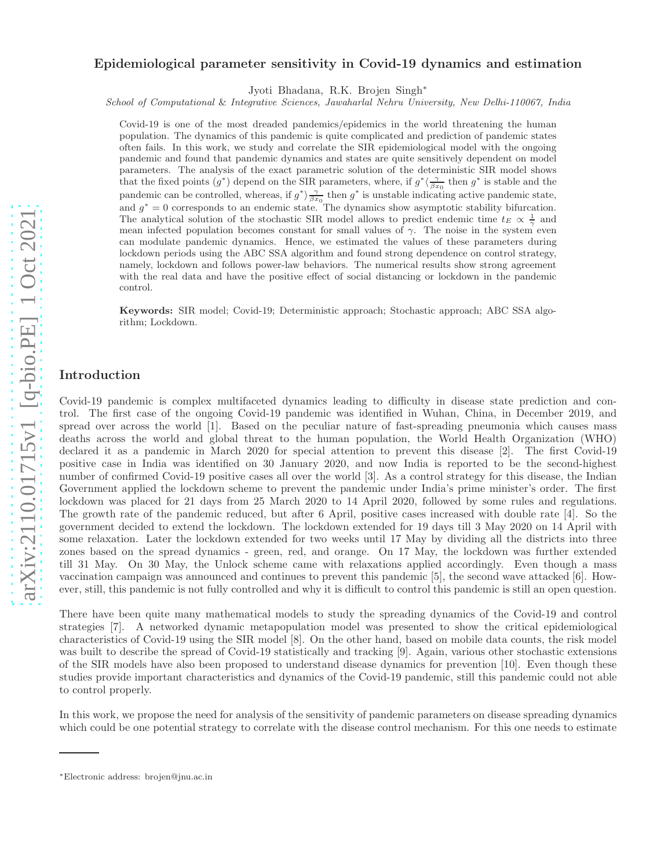# Epidemiological parameter sensitivity in Covid-19 dynamics and estimation

Jyoti Bhadana, R.K. Brojen Singh<sup>∗</sup>

School of Computational & Integrative Sciences, Jawaharlal Nehru University, New Delhi-110067, India

Covid-19 is one of the most dreaded pandemics/epidemics in the world threatening the human population. The dynamics of this pandemic is quite complicated and prediction of pandemic states often fails. In this work, we study and correlate the SIR epidemiological model with the ongoing pandemic and found that pandemic dynamics and states are quite sensitively dependent on model parameters. The analysis of the exact parametric solution of the deterministic SIR model shows that the fixed points  $(g^*)$  depend on the SIR parameters, where, if  $g^* \langle \frac{\gamma}{\beta x_0}$  then  $g^*$  is stable and the pandemic can be controlled, whereas, if  $g^*\rangle \frac{\gamma}{\beta x_0}$  then  $g^*$  is unstable indicating active pandemic state, and  $g^* = 0$  corresponds to an endemic state. The dynamics show asymptotic stability bifurcation. The analytical solution of the stochastic SIR model allows to predict endemic time  $t_E \propto \frac{1}{\gamma}$  and mean infected population becomes constant for small values of  $\gamma$ . The noise in the system even can modulate pandemic dynamics. Hence, we estimated the values of these parameters during lockdown periods using the ABC SSA algorithm and found strong dependence on control strategy, namely, lockdown and follows power-law behaviors. The numerical results show strong agreement with the real data and have the positive effect of social distancing or lockdown in the pandemic control.

Keywords: SIR model; Covid-19; Deterministic approach; Stochastic approach; ABC SSA algorithm; Lockdown.

## Introduction

Covid-19 pandemic is complex multifaceted dynamics leading to difficulty in disease state prediction and control. The first case of the ongoing Covid-19 pandemic was identified in Wuhan, China, in December 2019, and spread over across the world [1]. Based on the peculiar nature of fast-spreading pneumonia which causes mass deaths across the world and global threat to the human population, the World Health Organization (WHO) declared it as a pandemic in March 2020 for special attention to prevent this disease [2]. The first Covid-19 positive case in India was identified on 30 January 2020, and now India is reported to be the second-highest number of confirmed Covid-19 positive cases all over the world [3]. As a control strategy for this disease, the Indian Government applied the lockdown scheme to prevent the pandemic under India's prime minister's order. The first lockdown was placed for 21 days from 25 March 2020 to 14 April 2020, followed by some rules and regulations. The growth rate of the pandemic reduced, but after 6 April, positive cases increased with double rate [4]. So the government decided to extend the lockdown. The lockdown extended for 19 days till 3 May 2020 on 14 April with some relaxation. Later the lockdown extended for two weeks until 17 May by dividing all the districts into three zones based on the spread dynamics - green, red, and orange. On 17 May, the lockdown was further extended till 31 May. On 30 May, the Unlock scheme came with relaxations applied accordingly. Even though a mass vaccination campaign was announced and continues to prevent this pandemic [5], the second wave attacked [6]. However, still, this pandemic is not fully controlled and why it is difficult to control this pandemic is still an open question.

There have been quite many mathematical models to study the spreading dynamics of the Covid-19 and control strategies [7]. A networked dynamic metapopulation model was presented to show the critical epidemiological characteristics of Covid-19 using the SIR model [8]. On the other hand, based on mobile data counts, the risk model was built to describe the spread of Covid-19 statistically and tracking [9]. Again, various other stochastic extensions of the SIR models have also been proposed to understand disease dynamics for prevention [10]. Even though these studies provide important characteristics and dynamics of the Covid-19 pandemic, still this pandemic could not able to control properly.

In this work, we propose the need for analysis of the sensitivity of pandemic parameters on disease spreading dynamics which could be one potential strategy to correlate with the disease control mechanism. For this one needs to estimate

<sup>∗</sup>Electronic address: brojen@jnu.ac.in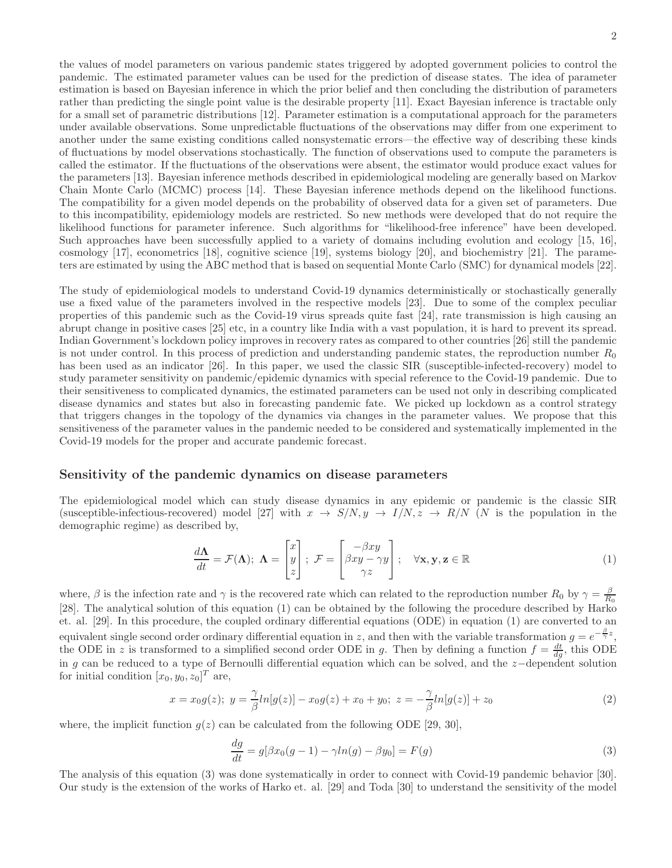the values of model parameters on various pandemic states triggered by adopted government policies to control the pandemic. The estimated parameter values can be used for the prediction of disease states. The idea of parameter estimation is based on Bayesian inference in which the prior belief and then concluding the distribution of parameters rather than predicting the single point value is the desirable property [11]. Exact Bayesian inference is tractable only for a small set of parametric distributions [12]. Parameter estimation is a computational approach for the parameters under available observations. Some unpredictable fluctuations of the observations may differ from one experiment to another under the same existing conditions called nonsystematic errors—the effective way of describing these kinds of fluctuations by model observations stochastically. The function of observations used to compute the parameters is called the estimator. If the fluctuations of the observations were absent, the estimator would produce exact values for the parameters [13]. Bayesian inference methods described in epidemiological modeling are generally based on Markov Chain Monte Carlo (MCMC) process [14]. These Bayesian inference methods depend on the likelihood functions. The compatibility for a given model depends on the probability of observed data for a given set of parameters. Due to this incompatibility, epidemiology models are restricted. So new methods were developed that do not require the likelihood functions for parameter inference. Such algorithms for "likelihood-free inference" have been developed. Such approaches have been successfully applied to a variety of domains including evolution and ecology [15, 16], cosmology [17], econometrics [18], cognitive science [19], systems biology [20], and biochemistry [21]. The parameters are estimated by using the ABC method that is based on sequential Monte Carlo (SMC) for dynamical models [22].

The study of epidemiological models to understand Covid-19 dynamics deterministically or stochastically generally use a fixed value of the parameters involved in the respective models [23]. Due to some of the complex peculiar properties of this pandemic such as the Covid-19 virus spreads quite fast [24], rate transmission is high causing an abrupt change in positive cases [25] etc, in a country like India with a vast population, it is hard to prevent its spread. Indian Government's lockdown policy improves in recovery rates as compared to other countries [26] still the pandemic is not under control. In this process of prediction and understanding pandemic states, the reproduction number  $R_0$ has been used as an indicator [26]. In this paper, we used the classic SIR (susceptible-infected-recovery) model to study parameter sensitivity on pandemic/epidemic dynamics with special reference to the Covid-19 pandemic. Due to their sensitiveness to complicated dynamics, the estimated parameters can be used not only in describing complicated disease dynamics and states but also in forecasting pandemic fate. We picked up lockdown as a control strategy that triggers changes in the topology of the dynamics via changes in the parameter values. We propose that this sensitiveness of the parameter values in the pandemic needed to be considered and systematically implemented in the Covid-19 models for the proper and accurate pandemic forecast.

# Sensitivity of the pandemic dynamics on disease parameters

The epidemiological model which can study disease dynamics in any epidemic or pandemic is the classic SIR (susceptible-infectious-recovered) model [27] with  $x \to S/N$ ,  $y \to I/N$ ,  $z \to R/N$  (N is the population in the demographic regime) as described by,

$$
\frac{d\Lambda}{dt} = \mathcal{F}(\Lambda); \ \Lambda = \begin{bmatrix} x \\ y \\ z \end{bmatrix}; \ \mathcal{F} = \begin{bmatrix} -\beta xy \\ \beta xy - \gamma y \\ \gamma z \end{bmatrix}; \quad \forall \mathbf{x}, \mathbf{y}, \mathbf{z} \in \mathbb{R} \tag{1}
$$

where,  $\beta$  is the infection rate and  $\gamma$  is the recovered rate which can related to the reproduction number  $R_0$  by  $\gamma = \frac{\beta}{R_0}$ [28]. The analytical solution of this equation (1) can be obtained by the following the procedure described by Harko et. al. [29]. In this procedure, the coupled ordinary differential equations (ODE) in equation (1) are converted to an equivalent single second order ordinary differential equation in z, and then with the variable transformation  $g = e^{-\frac{\beta}{\gamma}z}$ , the ODE in z is transformed to a simplified second order ODE in g. Then by defining a function  $f = \frac{dt}{dg}$ , this ODE in g can be reduced to a type of Bernoulli differential equation which can be solved, and the z−dependent solution for initial condition  $[x_0, y_0, z_0]^T$  are,

$$
x = x_0 g(z); \ y = \frac{\gamma}{\beta} ln[g(z)] - x_0 g(z) + x_0 + y_0; \ z = -\frac{\gamma}{\beta} ln[g(z)] + z_0
$$
\n(2)

where, the implicit function  $q(z)$  can be calculated from the following ODE [29, 30],

$$
\frac{dg}{dt} = g[\beta x_0(g-1) - \gamma ln(g) - \beta y_0] = F(g)
$$
\n(3)

The analysis of this equation (3) was done systematically in order to connect with Covid-19 pandemic behavior [30]. Our study is the extension of the works of Harko et. al. [29] and Toda [30] to understand the sensitivity of the model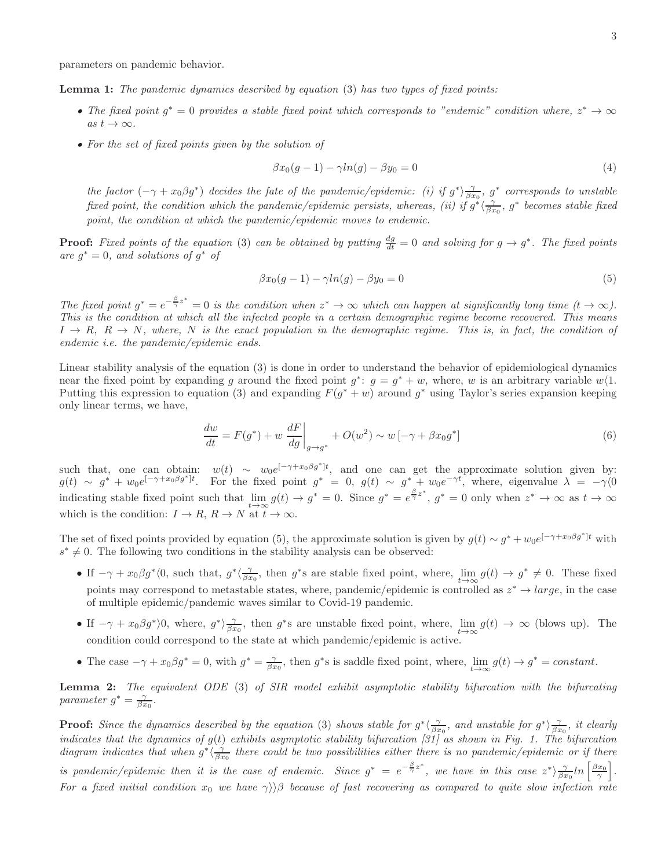Lemma 1: *The pandemic dynamics described by equation* (3) *has two types of fixed points:*

- The fixed point  $g^* = 0$  provides a stable fixed point which corresponds to "endemic" condition where,  $z^* \to \infty$  $as t \rightarrow \infty$ .
- *For the set of fixed points given by the solution of*

$$
\beta x_0(g-1) - \gamma ln(g) - \beta y_0 = 0 \tag{4}
$$

*the factor*  $(-\gamma + x_0\beta g^*)$  *decides the fate of the pandemic/epidemic: (i) if*  $g^*\rangle \frac{\gamma}{\beta x_0}$ ,  $g^*$  *corresponds to unstable fixed point, the condition which the pandemic/epidemic persists, whereas, (ii) if*  $g^*\langle \frac{\gamma}{\beta x_0}, g^*$  becomes stable fixed *point, the condition at which the pandemic/epidemic moves to endemic.*

**Proof:** Fixed points of the equation (3) can be obtained by putting  $\frac{dg}{dt} = 0$  and solving for  $g \to g^*$ . The fixed points  $\int$ *are*  $g^* = 0$ *, and solutions of*  $g^*$  *of* 

$$
\beta x_0(g-1) - \gamma \ln(g) - \beta y_0 = 0 \tag{5}
$$

The fixed point  $g^* = e^{-\frac{\beta}{\gamma}z^*} = 0$  is the condition when  $z^* \to \infty$  which can happen at significantly long time  $(t \to \infty)$ . *This is the condition at which all the infected people in a certain demographic regime become recovered. This means*  $I \rightarrow R$ ,  $R \rightarrow N$ , where, N is the exact population in the demographic regime. This is, in fact, the condition of *endemic i.e. the pandemic/epidemic ends.*

Linear stability analysis of the equation (3) is done in order to understand the behavior of epidemiological dynamics near the fixed point by expanding g around the fixed point  $g^*$ :  $g = g^* + w$ , where, w is an arbitrary variable  $w\langle 1$ . Putting this expression to equation (3) and expanding  $F(g^* + w)$  around  $g^*$  using Taylor's series expansion keeping only linear terms, we have,

$$
\frac{dw}{dt} = F(g^*) + w \left. \frac{dF}{dg} \right|_{g \to g^*} + O(w^2) \sim w \left[ -\gamma + \beta x_0 g^* \right] \tag{6}
$$

such that, one can obtain:  $w(t) \sim w_0 e^{[-\gamma + x_0 \beta g^*]t}$ , and one can get the approximate solution given by:  $g(t) \sim g^* + w_0 e^{[-\gamma + x_0 \beta g^*]t}$ . For the fixed point  $g^* = 0$ ,  $g(t) \sim g^* + w_0 e^{-\gamma t}$ , where, eigenvalue  $\lambda = -\gamma(0)$ indicating stable fixed point such that  $\lim_{t\to\infty} g(t) \to g^* = 0$ . Since  $g^* = e^{\frac{\beta}{\gamma}z^*}$ ,  $g^* = 0$  only when  $z^* \to \infty$  as  $t \to \infty$ which is the condition:  $I \to R$ ,  $R \to N$  at  $t \to \infty$ .

The set of fixed points provided by equation (5), the approximate solution is given by  $g(t) \sim g^* + w_0 e^{[-\gamma + x_0 \beta g^*]t}$  with  $s^* \neq 0$ . The following two conditions in the stability analysis can be observed:

- If  $-\gamma + x_0 \beta g^* \langle 0$ , such that,  $g^* \langle \frac{\gamma}{\beta x_0},\right)$  then  $g^*$ s are stable fixed point, where,  $\lim_{t\to\infty} g(t) \to g^* \neq 0$ . These fixed points may correspond to metastable states, where, pandemic/epidemic is controlled as  $z^* \to large$ , in the case of multiple epidemic/pandemic waves similar to Covid-19 pandemic.
- If  $-\gamma + x_0 \beta g^*$ , where,  $g^*$ ,  $\frac{\gamma}{\beta x_0}$ , then  $g^*$ s are unstable fixed point, where,  $\lim_{t\to\infty} g(t) \to \infty$  (blows up). The condition could correspond to the state at which pandemic/epidemic is active.
- The case  $-\gamma + x_0 \beta g^* = 0$ , with  $g^* = \frac{\gamma}{\beta x_0}$ , then  $g^*$ s is saddle fixed point, where,  $\lim_{t \to \infty} g(t) \to g^* = constant$ .

Lemma 2: *The equivalent ODE* (3) *of SIR model exhibit asymptotic stability bifurcation with the bifurcating parameter*  $g^* = \frac{\gamma}{\beta x_0}$ .

**Proof:** Since the dynamics described by the equation (3) shows stable for  $g^*\langle \frac{\gamma}{\beta x_0},$  and unstable for  $g^*\rangle \frac{\gamma}{\beta x_0}$ , it clearly *indicates that the dynamics of* g(t) *exhibits asymptotic stability bifurcation [31] as shown in Fig. 1. The bifurcation* diagram indicates that when  $g^*\langle \frac{\gamma}{\beta x_0}$  there could be two possibilities either there is no pandemic/epidemic or if there *is pandemic/epidemic then it is the case of endemic. Since*  $g^* = e^{-\frac{\beta}{\gamma}z^*}$ , we have in this case  $z^*\rangle \frac{\gamma}{\beta x_0} ln\left[\frac{\beta x_0}{\gamma}\right]$ . *For a fixed initial condition*  $x_0$  *we have*  $\gamma$ )  $\beta$  *because of fast recovering as compared to quite slow infection rate*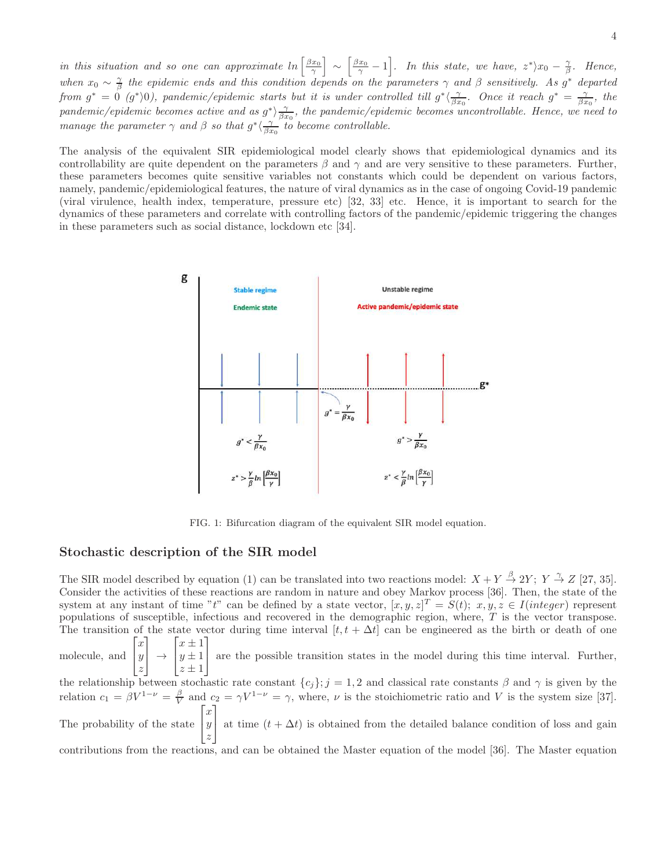*in this situation and so one can approximate*  $\ln \left[ \frac{\beta x_0}{\gamma} \right] \sim \left[ \frac{\beta x_0}{\gamma} - 1 \right]$ . In this state, we have,  $z^* \rangle x_0 - \frac{\gamma}{\beta}$ . Hence, when  $x_0 \sim \frac{\gamma}{\beta}$  the epidemic ends and this condition depends on the parameters  $\gamma$  and  $\beta$  sensitively. As g<sup>\*</sup> departed from  $g^* = 0$   $(g^*)0$ , pandemic/epidemic starts but it is under controlled till  $g^*\langle \frac{\gamma}{\beta x_0}$ . Once it reach  $g^* = \frac{\gamma}{\beta x_0}$ , the *pandemic/epidemic becomes active and as*  $g^*$ )  $\frac{\gamma}{\beta x_0}$ , the pandemic/epidemic becomes uncontrollable. Hence, we need to *manage the parameter*  $\gamma$  *and*  $\beta$  *so that*  $g^* \langle \frac{\gamma}{\beta x_0} \rangle$  *to become controllable.* 

The analysis of the equivalent SIR epidemiological model clearly shows that epidemiological dynamics and its controllability are quite dependent on the parameters  $\beta$  and  $\gamma$  and are very sensitive to these parameters. Further, these parameters becomes quite sensitive variables not constants which could be dependent on various factors, namely, pandemic/epidemiological features, the nature of viral dynamics as in the case of ongoing Covid-19 pandemic (viral virulence, health index, temperature, pressure etc) [32, 33] etc. Hence, it is important to search for the dynamics of these parameters and correlate with controlling factors of the pandemic/epidemic triggering the changes in these parameters such as social distance, lockdown etc [34].



FIG. 1: Bifurcation diagram of the equivalent SIR model equation.

## Stochastic description of the SIR model

The SIR model described by equation (1) can be translated into two reactions model:  $X + Y \stackrel{\beta}{\rightarrow} 2Y$ ;  $Y \stackrel{\gamma}{\rightarrow} Z$  [27, 35]. Consider the activities of these reactions are random in nature and obey Markov process [36]. Then, the state of the system at any instant of time "t" can be defined by a state vector,  $[x, y, z]^T = S(t)$ ;  $x, y, z \in I(integer)$  represent populations of susceptible, infectious and recovered in the demographic region, where,  $T$  is the vector transpose. The transition of the state vector during time interval  $[t, t + \Delta t]$  can be engineered as the birth or death of one molecule, and  $\sqrt{ }$  $\overline{1}$  $\boldsymbol{x}$  $\hat{y}$ z 1  $|\rightarrow$  $\sqrt{ }$  $\overline{1}$  $x \pm 1$  $y \pm 1$  $z \pm 1$ 1 are the possible transition states in the model during this time interval. Further, the relationship between stochastic rate constant  ${c_j}; j = 1, 2$  and classical rate constants  $\beta$  and  $\gamma$  is given by the relation  $c_1 = \beta V^{1-\nu} = \frac{\beta}{V}$  and  $c_2 = \gamma V^{1-\nu} = \gamma$ , where,  $\nu$  is the stoichiometric ratio and V is the system size [37]. The probability of the state  $\sqrt{ }$  $\overline{1}$  $\boldsymbol{x}$  $\hat{y}$ z 1 at time  $(t + \Delta t)$  is obtained from the detailed balance condition of loss and gain contributions from the reactions, and can be obtained the Master equation of the model [36]. The Master equation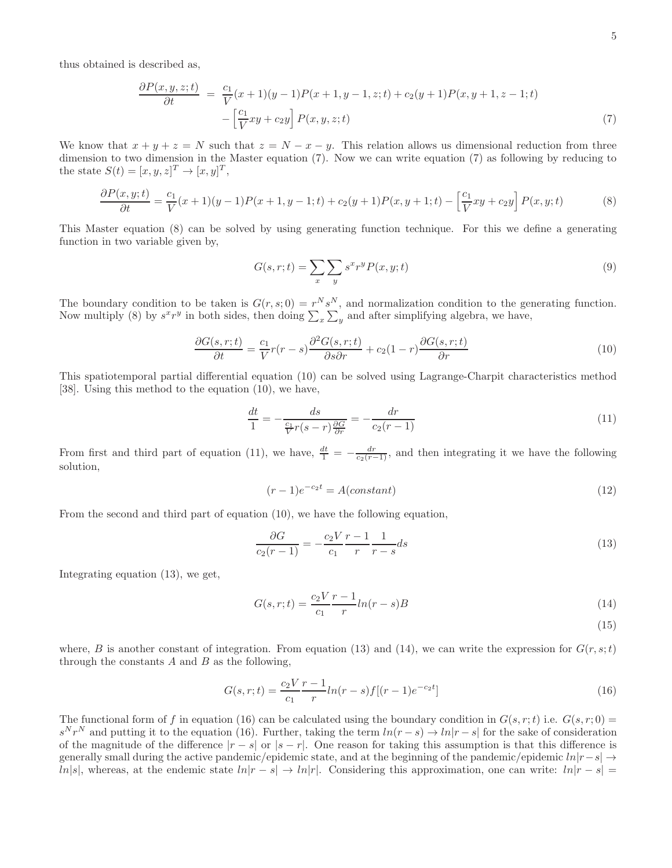thus obtained is described as,

$$
\frac{\partial P(x, y, z; t)}{\partial t} = \frac{c_1}{V}(x+1)(y-1)P(x+1, y-1, z; t) + c_2(y+1)P(x, y+1, z-1; t) - \left[\frac{c_1}{V}xy + c_2y\right]P(x, y, z; t)
$$
\n(7)

We know that  $x + y + z = N$  such that  $z = N - x - y$ . This relation allows us dimensional reduction from three dimension to two dimension in the Master equation (7). Now we can write equation (7) as following by reducing to the state  $S(t) = [x, y, z]^T \rightarrow [x, y]^T$ ,

$$
\frac{\partial P(x,y;t)}{\partial t} = \frac{c_1}{V}(x+1)(y-1)P(x+1,y-1;t) + c_2(y+1)P(x,y+1;t) - \left[\frac{c_1}{V}xy + c_2y\right]P(x,y;t) \tag{8}
$$

This Master equation (8) can be solved by using generating function technique. For this we define a generating function in two variable given by,

$$
G(s,r;t) = \sum_{x} \sum_{y} s^x r^y P(x,y;t)
$$
\n(9)

The boundary condition to be taken is  $G(r, s; 0) = r^N s^N$ , and normalization condition to the generating function. Now multiply (8) by  $s^x r^y$  in both sides, then doing  $\sum_x \sum_y$  and after simplifying algebra, we have,

$$
\frac{\partial G(s,r;t)}{\partial t} = \frac{c_1}{V}r(r-s)\frac{\partial^2 G(s,r;t)}{\partial s \partial r} + c_2(1-r)\frac{\partial G(s,r;t)}{\partial r}
$$
(10)

This spatiotemporal partial differential equation (10) can be solved using Lagrange-Charpit characteristics method [38]. Using this method to the equation (10), we have,

$$
\frac{dt}{1} = -\frac{ds}{\frac{c_1}{V}r(s-r)\frac{\partial G}{\partial r}} = -\frac{dr}{c_2(r-1)}
$$
\n(11)

From first and third part of equation (11), we have,  $\frac{dt}{1} = -\frac{dr}{c_2(r-1)}$ , and then integrating it we have the following solution,

$$
(r-1)e^{-c_2t} = A(constant)
$$
\n<sup>(12)</sup>

From the second and third part of equation (10), we have the following equation,

$$
\frac{\partial G}{c_2(r-1)} = -\frac{c_2 V r - 1}{c_1} \frac{1}{r} + \frac{1}{r - s} ds \tag{13}
$$

Integrating equation (13), we get,

$$
G(s,r;t) = \frac{c_2 V r - 1}{c_1 r} ln(r - s)B
$$
\n(14)

(15)

where, B is another constant of integration. From equation (13) and (14), we can write the expression for  $G(r, s; t)$ through the constants  $A$  and  $B$  as the following,

$$
G(s,r;t) = \frac{c_2 V r - 1}{c_1} ln(r - s) f[(r - 1)e^{-c_2 t}]
$$
\n(16)

The functional form of f in equation (16) can be calculated using the boundary condition in  $G(s, r; t)$  i.e.  $G(s, r; 0)$  =  $s^N r^N$  and putting it to the equation (16). Further, taking the term  $ln(r - s) \rightarrow ln|r - s|$  for the sake of consideration of the magnitude of the difference  $|r - s|$  or  $|s - r|$ . One reason for taking this assumption is that this difference is generally small during the active pandemic/epidemic state, and at the beginning of the pandemic/epidemic  $ln|r-s| \rightarrow$ ln|s|, whereas, at the endemic state  $ln|r - s| \to ln|r|$ . Considering this approximation, one can write:  $ln|r - s| =$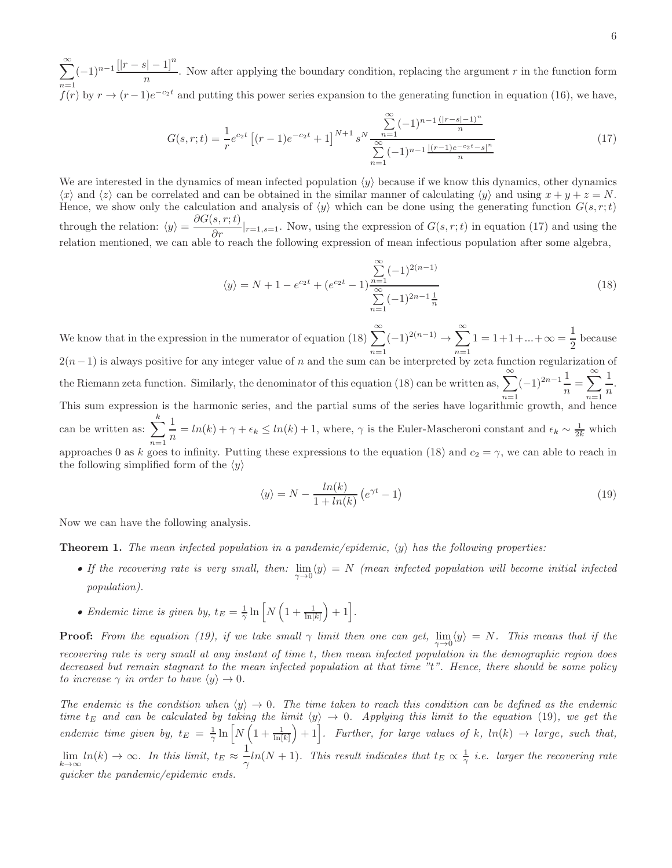$\sum^{\infty}$  $n=1$  $(-1)^{n-1}$  $\frac{[|r-s|-1]^n}{[r-s]}$  $\frac{n}{n}$ . Now after applying the boundary condition, replacing the argument r in the function form  $f(r)$  by  $r \to (r-1)e^{-c_2t}$  and putting this power series expansion to the generating function in equation (16), we have,

$$
G(s,r;t) = \frac{1}{r}e^{c_2t} \left[ (r-1)e^{-c_2t} + 1 \right]^{N+1} s^N \frac{\sum_{n=1}^{\infty} (-1)^{n-1} \frac{(|r-s|-1)^n}{n}}{\sum_{n=1}^{\infty} (-1)^{n-1} \frac{|(r-1)e^{-c_2t}-s|^n}{n}} \tag{17}
$$

We are interested in the dynamics of mean infected population  $\langle y \rangle$  because if we know this dynamics, other dynamics  $\langle x \rangle$  and  $\langle z \rangle$  can be correlated and can be obtained in the similar manner of calculating  $\langle y \rangle$  and using  $x + y + z = N$ . Hence, we show only the calculation and analysis of  $\langle y \rangle$  which can be done using the generating function  $G(s, r; t)$ through the relation:  $\langle y \rangle = \frac{\partial G(s, r; t)}{\partial r}|_{r=1, s=1}$ . Now, using the expression of  $G(s, r; t)$  in equation (17) and using the relation mentioned, we can able to reach the following expression of mean infectious population

$$
\langle y \rangle = N + 1 - e^{c_2 t} + (e^{c_2 t} - 1) \frac{\sum_{n=1}^{\infty} (-1)^{2(n-1)}}{\sum_{n=1}^{\infty} (-1)^{2n-1} \frac{1}{n}}
$$
(18)

We know that in the expression in the numerator of equation (18)  $\sum^{\infty}$  $n=1$  $(-1)^{2(n-1)} \rightarrow \sum^{\infty}$  $n=1$  $1 = 1 + 1 + \ldots + \infty = \frac{1}{2}$  $\frac{1}{2}$  because  $2(n-1)$  is always positive for any integer value of n and the sum can be interpreted by zeta function regularization of the Riemann zeta function. Similarly, the denominator of this equation (18) can be written as,  $\sum_{n=0}^{\infty}(-1)^{2n-1}\frac{1}{n}$ This sum expression is the harmonic series, and the partial sums of the series have logarithmic growth, and hence  $\frac{1}{n} = \sum_{n=1}^{\infty} \frac{1}{n}$  $\frac{1}{n}$ . can be written as:  $\sum$  $\frac{k}{\cdot}$  1 approaches 0 as k goes to infinity. Putting these expressions to the equation (18) and  $c_2 = \gamma$ , we can able to reach in  $\frac{1}{n} = ln(k) + \gamma + \epsilon_k \leq ln(k) + 1$ , where,  $\gamma$  is the Euler-Mascheroni constant and  $\epsilon_k \sim \frac{1}{2k}$  which the following simplified form of the  $\langle y \rangle$ 

$$
\langle y \rangle = N - \frac{\ln(k)}{1 + \ln(k)} \left( e^{\gamma t} - 1 \right) \tag{19}
$$

Now we can have the following analysis.

**Theorem 1.** The mean infected population in a pandemic/epidemic,  $\langle y \rangle$  has the following properties:

- If the recovering rate is very small, then:  $\lim_{\gamma\to 0} \langle y \rangle = N$  (mean infected population will become initial infected *population).*
- *Endemic time is given by,*  $t_E = \frac{1}{\gamma} \ln \left[ N \left( 1 + \frac{1}{\ln[k]} \right) + 1 \right]$ .

**Proof:** From the equation (19), if we take small  $\gamma$  limit then one can get,  $\lim_{\gamma\to 0} \langle y \rangle = N$ . This means that if the *recovering rate is very small at any instant of time* t*, then mean infected population in the demographic region does decreased but remain stagnant to the mean infected population at that time "*t*". Hence, there should be some policy to increase*  $\gamma$  *in order to have*  $\langle y \rangle \rightarrow 0$ *.* 

*The endemic is the condition when*  $\langle y \rangle \to 0$ . *The time taken to reach this condition can be defined as the endemic time*  $t_E$  and can be calculated by taking the limit  $\langle y \rangle \to 0$ . Applying this limit to the equation (19), we get the endemic time given by,  $t_E = \frac{1}{\gamma} \ln \left[ N \left( 1 + \frac{1}{\ln[k]} \right) + 1 \right]$ . Further, for large values of k,  $\ln(k) \to \text{large}$ , such that,  $\lim_{k\to\infty} ln(k) \to \infty$ . In this limit,  $t_E \approx \frac{1}{\gamma}$  $\frac{1}{\gamma}$ ln(N + 1)*. This result indicates that*  $t_E \propto \frac{1}{\gamma}$  *i.e. larger the recovering rate quicker the pandemic/epidemic ends.*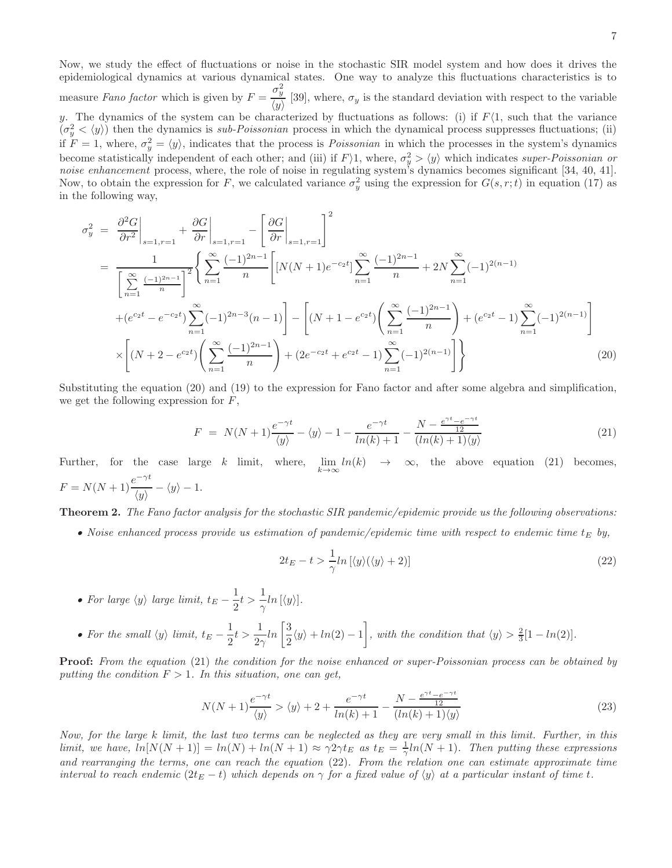Now, we study the effect of fluctuations or noise in the stochastic SIR model system and how does it drives the epidemiological dynamics at various dynamical states. One way to analyze this fluctuations characteristics is to

measure *Fano factor* which is given by  $F = \frac{\sigma_y^2}{\sqrt{2}}$  $\frac{y}{\langle y \rangle}$  [39], where,  $\sigma_y$  is the standard deviation with respect to the variable y. The dynamics of the system can be characterized by fluctuations as follows: (i) if  $F(1)$ , such that the variance  $(\sigma_y^2 \langle \psi \rangle)$  then the dynamics is *sub-Poissonian* process in which the dynamical process suppresses fluctuations; (ii) if  $F = 1$ , where,  $\sigma_y^2 = \langle y \rangle$ , indicates that the process is *Poissonian* in which the processes in the system's dynamics become statistically independent of each other; and (iii) if  $F \geq 1$ , where,  $\sigma_y^2 > \langle y \rangle$  which indicates *super-Poissonian or noise enhancement* process, where, the role of noise in regulating system's dynamics becomes significant [34, 40, 41]. Now, to obtain the expression for F, we calculated variance  $\sigma_y^2$  using the expression for  $G(s, r; t)$  in equation (17) as in the following way,

$$
\sigma_y^2 = \frac{\partial^2 G}{\partial r^2}\Big|_{s=1,r=1} + \frac{\partial G}{\partial r}\Big|_{s=1,r=1} - \left[\frac{\partial G}{\partial r}\Big|_{s=1,r=1}\right]^2
$$
\n
$$
= \frac{1}{\left[\sum_{n=1}^{\infty} \frac{(-1)^{2n-1}}{n}\right]^2} \left\{\sum_{n=1}^{\infty} \frac{(-1)^{2n-1}}{n}\left[N(N+1)e^{-c_2t}\right]\sum_{n=1}^{\infty} \frac{(-1)^{2n-1}}{n} + 2N\sum_{n=1}^{\infty} (-1)^{2(n-1)}\right\}
$$
\n
$$
+ (e^{c_2t} - e^{-c_2t})\sum_{n=1}^{\infty} (-1)^{2n-3}(n-1)\Big] - \left[(N+1-e^{c_2t})\left(\sum_{n=1}^{\infty} \frac{(-1)^{2n-1}}{n}\right) + (e^{c_2t} - 1)\sum_{n=1}^{\infty} (-1)^{2(n-1)}\right]
$$
\n
$$
\times \left[(N+2-e^{c_2t})\left(\sum_{n=1}^{\infty} \frac{(-1)^{2n-1}}{n}\right) + (2e^{-c_2t} + e^{c_2t} - 1)\sum_{n=1}^{\infty} (-1)^{2(n-1)}\right]\right\}
$$
\n(20)

Substituting the equation (20) and (19) to the expression for Fano factor and after some algebra and simplification, we get the following expression for  $F$ ,

$$
F = N(N+1)\frac{e^{-\gamma t}}{\langle y \rangle} - \langle y \rangle - 1 - \frac{e^{-\gamma t}}{\ln(k) + 1} - \frac{N - \frac{e^{\gamma t} - e^{-\gamma t}}{12}}{\langle \ln(k) + 1 \rangle \langle y \rangle}
$$
(21)

Further, for the case large  $k$  limit, where,  $\lim_{k\to\infty} ln(k) \to \infty$ , the above equation (21) becomes,  $F = N(N+1) \frac{e^{-\gamma t}}{N}$  $\frac{\partial}{\partial y} - \langle y \rangle - 1.$ 

Theorem 2. *The Fano factor analysis for the stochastic SIR pandemic/epidemic provide us the following observations:*

• *Noise enhanced process provide us estimation of pandemic/epidemic time with respect to endemic time*  $t_E$  *by,* 

$$
2t_E - t > \frac{1}{\gamma} \ln \left[ \langle y \rangle (\langle y \rangle + 2) \right] \tag{22}
$$

- For large  $\langle y \rangle$  *large limit,*  $t_E \frac{1}{2}$  $\frac{1}{2}t > \frac{1}{\gamma}$  $\frac{1}{\gamma}$ ln [ $\langle y \rangle$ ].
- For the small  $\langle y \rangle$  *limit,*  $t_E \frac{1}{2}$  $\frac{1}{2}t > \frac{1}{2}$  $rac{1}{2\gamma}ln\left[\frac{3}{2}\right]$  $\frac{3}{2}\langle y \rangle + ln(2) - 1$ , with the condition that  $\langle y \rangle > \frac{2}{3}[1 - ln(2)].$

Proof: *From the equation* (21) *the condition for the noise enhanced or super-Poissonian process can be obtained by putting the condition*  $F > 1$ *. In this situation, one can get,* 

$$
N(N+1)\frac{e^{-\gamma t}}{\langle y \rangle} > \langle y \rangle + 2 + \frac{e^{-\gamma t}}{\ln(k) + 1} - \frac{N - \frac{e^{\gamma t} - e^{-\gamma t}}{12}}{\langle \ln(k) + 1 \rangle \langle y \rangle} \tag{23}
$$

*Now, for the large* k *limit, the last two terms can be neglected as they are very small in this limit. Further, in this*  $\lim_{M \to \infty} \ln(N(N+1)) = \ln(N) + \ln(N+1) \approx \gamma 2\gamma t_E$  as  $t_E = \frac{1}{\gamma} \ln(N+1)$ . Then putting these expressions *and rearranging the terms, one can reach the equation* (22)*. From the relation one can estimate approximate time interval to reach endemic*  $(2t_E - t)$  *which depends on*  $\gamma$  *for a fixed value of*  $\langle y \rangle$  *at a particular instant of time t.*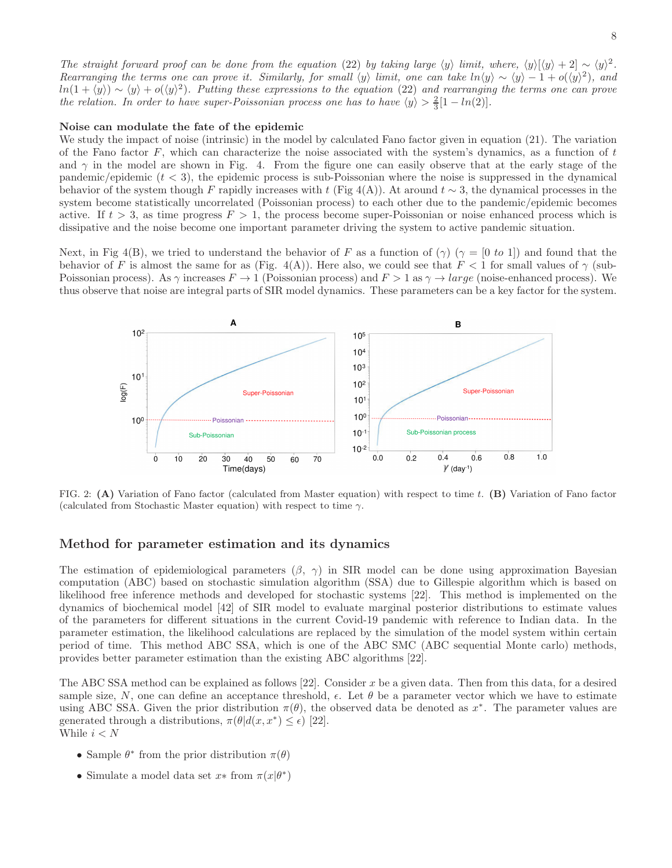*The straight forward proof can be done from the equation* (22) *by taking large*  $\langle y \rangle$  *limit, where,*  $\langle y \rangle [\langle y \rangle + 2] \sim \langle y \rangle^2$ . *Rearranging the terms one can prove it. Similarly, for small*  $\langle y \rangle$  *limit, one can take*  $ln \langle y \rangle \sim \langle y \rangle - 1 + o(\langle y \rangle^2)$ , and  $ln(1 + \langle y \rangle) \sim \langle y \rangle + o(\langle y \rangle^2)$ . Putting these expressions to the equation (22) and rearranging the terms one can prove *the relation. In order to have super-Poissonian process one has to have*  $\langle y \rangle > \frac{2}{3}[1 - ln(2)].$ 

### Noise can modulate the fate of the epidemic

We study the impact of noise (intrinsic) in the model by calculated Fano factor given in equation (21). The variation of the Fano factor  $F$ , which can characterize the noise associated with the system's dynamics, as a function of  $t$ and  $\gamma$  in the model are shown in Fig. 4. From the figure one can easily observe that at the early stage of the pandemic/epidemic  $(t < 3)$ , the epidemic process is sub-Poissonian where the noise is suppressed in the dynamical behavior of the system though F rapidly increases with t (Fig 4(A)). At around  $t \sim 3$ , the dynamical processes in the system become statistically uncorrelated (Poissonian process) to each other due to the pandemic/epidemic becomes active. If  $t > 3$ , as time progress  $F > 1$ , the process become super-Poissonian or noise enhanced process which is dissipative and the noise become one important parameter driving the system to active pandemic situation.

Next, in Fig 4(B), we tried to understand the behavior of F as a function of  $(\gamma)$  ( $\gamma = [0 \text{ to } 1]$ ) and found that the behavior of F is almost the same for as (Fig. 4(A)). Here also, we could see that  $F < 1$  for small values of  $\gamma$  (sub-Poissonian process). As  $\gamma$  increases  $F \to 1$  (Poissonian process) and  $F > 1$  as  $\gamma \to large$  (noise-enhanced process). We thus observe that noise are integral parts of SIR model dynamics. These parameters can be a key factor for the system.



FIG. 2: (A) Variation of Fano factor (calculated from Master equation) with respect to time t. (B) Variation of Fano factor (calculated from Stochastic Master equation) with respect to time  $\gamma$ .

# Method for parameter estimation and its dynamics

The estimation of epidemiological parameters  $(\beta, \gamma)$  in SIR model can be done using approximation Bayesian computation (ABC) based on stochastic simulation algorithm (SSA) due to Gillespie algorithm which is based on likelihood free inference methods and developed for stochastic systems [22]. This method is implemented on the dynamics of biochemical model [42] of SIR model to evaluate marginal posterior distributions to estimate values of the parameters for different situations in the current Covid-19 pandemic with reference to Indian data. In the parameter estimation, the likelihood calculations are replaced by the simulation of the model system within certain period of time. This method ABC SSA, which is one of the ABC SMC (ABC sequential Monte carlo) methods, provides better parameter estimation than the existing ABC algorithms [22].

The ABC SSA method can be explained as follows [22]. Consider x be a given data. Then from this data, for a desired sample size, N, one can define an acceptance threshold,  $\epsilon$ . Let  $\theta$  be a parameter vector which we have to estimate using ABC SSA. Given the prior distribution  $\pi(\theta)$ , the observed data be denoted as  $x^*$ . The parameter values are generated through a distributions,  $\pi(\theta|d(x, x^*) \leq \epsilon)$  [22]. While  $i < N$ 

- Sample  $\theta^*$  from the prior distribution  $\pi(\theta)$
- Simulate a model data set  $x*$  from  $\pi(x|\theta^*)$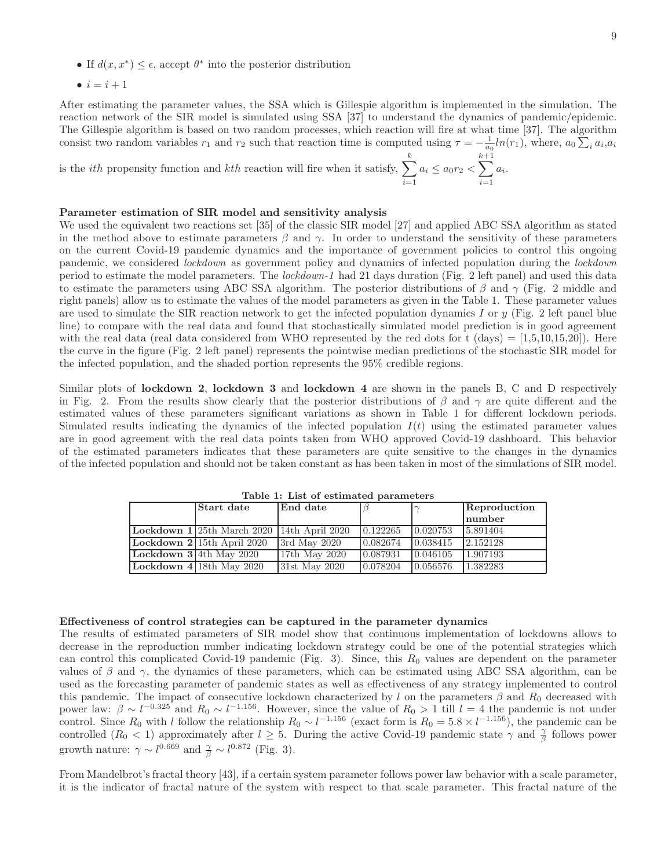- If  $d(x, x^*) \leq \epsilon$ , accept  $\theta^*$  into the posterior distribution
- $i = i + 1$

After estimating the parameter values, the SSA which is Gillespie algorithm is implemented in the simulation. The reaction network of the SIR model is simulated using SSA [37] to understand the dynamics of pandemic/epidemic. The Gillespie algorithm is based on two random processes, which reaction will fire at what time [37]. The algorithm consist two random variables  $r_1$  and  $r_2$  such that reaction time is computed using  $\tau = -\frac{1}{a_0} ln(r_1)$ , where,  $a_0 \sum_i a_i a_i$ 

is the *ith* propensity function and *kth* reaction will fire when it satisfy,  $\sum$ k  $i=1$  $a_i \leq a_0 r_2$  < k  $\sum$  $^{+1}$  $i=1$  $a_i$ .

## Parameter estimation of SIR model and sensitivity analysis

We used the equivalent two reactions set [35] of the classic SIR model [27] and applied ABC SSA algorithm as stated in the method above to estimate parameters  $\beta$  and  $\gamma$ . In order to understand the sensitivity of these parameters on the current Covid-19 pandemic dynamics and the importance of government policies to control this ongoing pandemic, we considered *lockdown* as government policy and dynamics of infected population during the *lockdown* period to estimate the model parameters. The *lockdown-1* had 21 days duration (Fig. 2 left panel) and used this data to estimate the parameters using ABC SSA algorithm. The posterior distributions of  $\beta$  and  $\gamma$  (Fig. 2 middle and right panels) allow us to estimate the values of the model parameters as given in the Table 1. These parameter values are used to simulate the SIR reaction network to get the infected population dynamics I or  $y$  (Fig. 2 left panel blue line) to compare with the real data and found that stochastically simulated model prediction is in good agreement with the real data (real data considered from WHO represented by the red dots for t  $(\text{days}) = [1,5,10,15,20]$ ). Here the curve in the figure (Fig. 2 left panel) represents the pointwise median predictions of the stochastic SIR model for the infected population, and the shaded portion represents the 95% credible regions.

Similar plots of lockdown 2, lockdown 3 and lockdown 4 are shown in the panels B, C and D respectively in Fig. 2. From the results show clearly that the posterior distributions of  $\beta$  and  $\gamma$  are quite different and the estimated values of these parameters significant variations as shown in Table 1 for different lockdown periods. Simulated results indicating the dynamics of the infected population  $I(t)$  using the estimated parameter values are in good agreement with the real data points taken from WHO approved Covid-19 dashboard. This behavior of the estimated parameters indicates that these parameters are quite sensitive to the changes in the dynamics of the infected population and should not be taken constant as has been taken in most of the simulations of SIR model.

| Start date                    | End date          |          | $\sim$   | Reproduction<br>number |
|-------------------------------|-------------------|----------|----------|------------------------|
| Lockdown 1125th March 2020    | $14th$ April 2020 | 0.122265 | 0.020753 | 5.891404               |
| Lockdown $2 15$ th April 2020 | $3rd$ May $2020$  | 0.082674 | 0.038415 | 2.152128               |
| Lockdown $3 4th$ May 2020     | $17th$ May $2020$ | 0.087931 | 0.046105 | 1.907193               |
| Lockdown $4 18th$ May 2020    | $31st$ May 2020   | 0.078204 | 0.056576 | 1.382283               |

Table 1: List of estimated parameters

#### Effectiveness of control strategies can be captured in the parameter dynamics

The results of estimated parameters of SIR model show that continuous implementation of lockdowns allows to decrease in the reproduction number indicating lockdown strategy could be one of the potential strategies which can control this complicated Covid-19 pandemic (Fig. 3). Since, this  $R_0$  values are dependent on the parameter values of  $\beta$  and  $\gamma$ , the dynamics of these parameters, which can be estimated using ABC SSA algorithm, can be used as the forecasting parameter of pandemic states as well as effectiveness of any strategy implemented to control this pandemic. The impact of consecutive lockdown characterized by l on the parameters  $\beta$  and  $R_0$  decreased with power law:  $\beta \sim l^{-0.325}$  and  $R_0 \sim l^{-1.156}$ . However, since the value of  $R_0 > 1$  till  $l = 4$  the pandemic is not under control. Since  $R_0$  with l follow the relationship  $R_0 \sim l^{-1.156}$  (exact form is  $R_0 = 5.8 \times l^{-1.156}$ ), the pandemic can be controlled  $(R_0 < 1)$  approximately after  $l \geq 5$ . During the active Covid-19 pandemic state  $\gamma$  and  $\frac{\gamma}{\beta}$  follows power growth nature:  $\gamma \sim l^{0.669}$  and  $\frac{\gamma}{\beta} \sim l^{0.872}$  (Fig. 3).

From Mandelbrot's fractal theory [43], if a certain system parameter follows power law behavior with a scale parameter, it is the indicator of fractal nature of the system with respect to that scale parameter. This fractal nature of the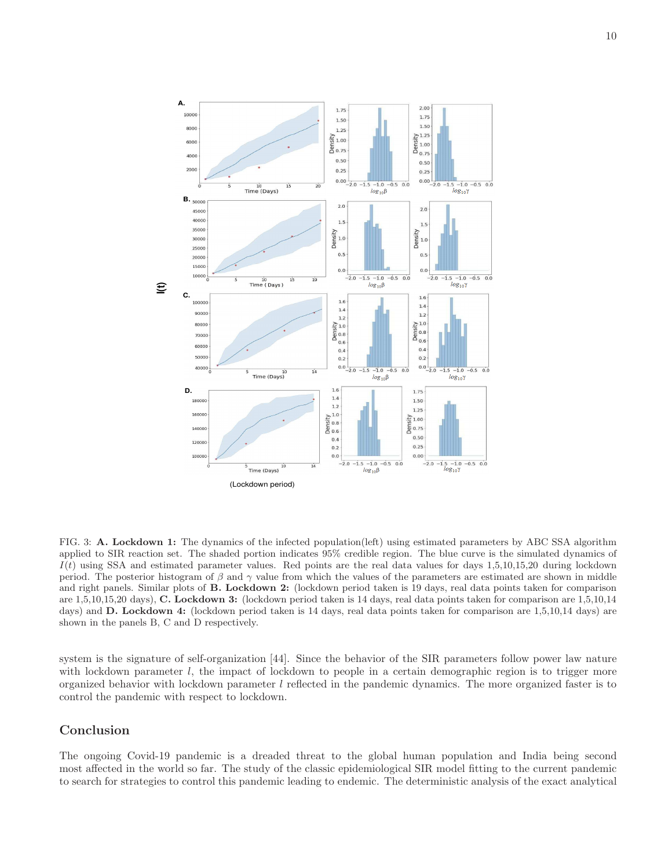10



FIG. 3: A. Lockdown 1: The dynamics of the infected population(left) using estimated parameters by ABC SSA algorithm applied to SIR reaction set. The shaded portion indicates 95% credible region. The blue curve is the simulated dynamics of  $I(t)$  using SSA and estimated parameter values. Red points are the real data values for days 1,5,10,15,20 during lockdown period. The posterior histogram of  $\beta$  and  $\gamma$  value from which the values of the parameters are estimated are shown in middle and right panels. Similar plots of B. Lockdown 2: (lockdown period taken is 19 days, real data points taken for comparison are 1,5,10,15,20 days), C. Lockdown 3: (lockdown period taken is 14 days, real data points taken for comparison are 1,5,10,14 days) and **D. Lockdown 4:** (lockdown period taken is 14 days, real data points taken for comparison are 1,5,10,14 days) are shown in the panels B, C and D respectively.

system is the signature of self-organization [44]. Since the behavior of the SIR parameters follow power law nature with lockdown parameter l, the impact of lockdown to people in a certain demographic region is to trigger more organized behavior with lockdown parameter  $l$  reflected in the pandemic dynamics. The more organized faster is to control the pandemic with respect to lockdown.

# Conclusion

The ongoing Covid-19 pandemic is a dreaded threat to the global human population and India being second most affected in the world so far. The study of the classic epidemiological SIR model fitting to the current pandemic to search for strategies to control this pandemic leading to endemic. The deterministic analysis of the exact analytical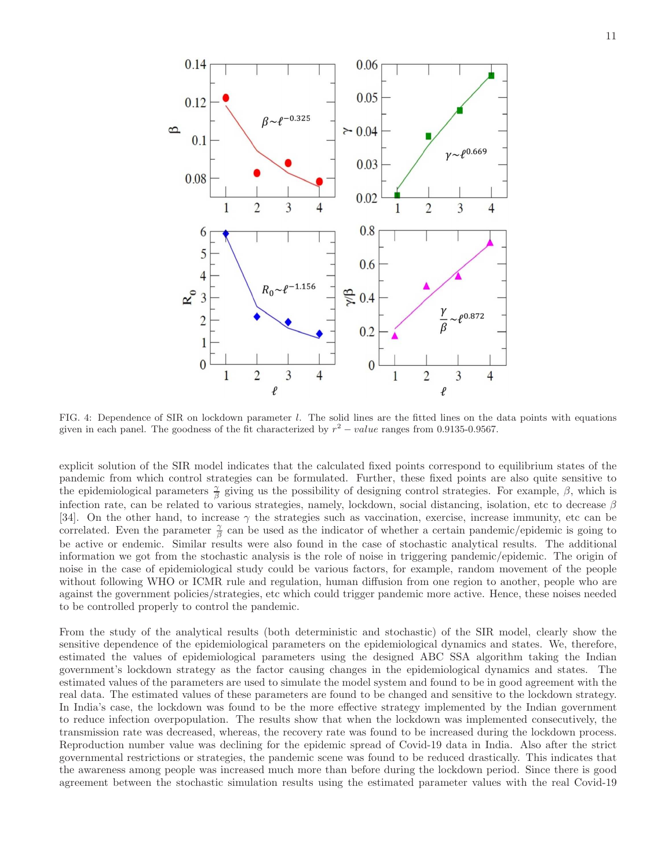

FIG. 4: Dependence of SIR on lockdown parameter l. The solid lines are the fitted lines on the data points with equations given in each panel. The goodness of the fit characterized by  $r^2 - value$  ranges from 0.9135-0.9567.

explicit solution of the SIR model indicates that the calculated fixed points correspond to equilibrium states of the pandemic from which control strategies can be formulated. Further, these fixed points are also quite sensitive to the epidemiological parameters  $\frac{\gamma}{\beta}$  giving us the possibility of designing control strategies. For example,  $\beta$ , which is infection rate, can be related to various strategies, namely, lockdown, social distancing, isolation, etc to decrease  $\beta$ [34]. On the other hand, to increase  $\gamma$  the strategies such as vaccination, exercise, increase immunity, etc can be correlated. Even the parameter  $\frac{\gamma}{\beta}$  can be used as the indicator of whether a certain pandemic/epidemic is going to be active or endemic. Similar results were also found in the case of stochastic analytical results. The additional information we got from the stochastic analysis is the role of noise in triggering pandemic/epidemic. The origin of noise in the case of epidemiological study could be various factors, for example, random movement of the people without following WHO or ICMR rule and regulation, human diffusion from one region to another, people who are against the government policies/strategies, etc which could trigger pandemic more active. Hence, these noises needed to be controlled properly to control the pandemic.

From the study of the analytical results (both deterministic and stochastic) of the SIR model, clearly show the sensitive dependence of the epidemiological parameters on the epidemiological dynamics and states. We, therefore, estimated the values of epidemiological parameters using the designed ABC SSA algorithm taking the Indian government's lockdown strategy as the factor causing changes in the epidemiological dynamics and states. The estimated values of the parameters are used to simulate the model system and found to be in good agreement with the real data. The estimated values of these parameters are found to be changed and sensitive to the lockdown strategy. In India's case, the lockdown was found to be the more effective strategy implemented by the Indian government to reduce infection overpopulation. The results show that when the lockdown was implemented consecutively, the transmission rate was decreased, whereas, the recovery rate was found to be increased during the lockdown process. Reproduction number value was declining for the epidemic spread of Covid-19 data in India. Also after the strict governmental restrictions or strategies, the pandemic scene was found to be reduced drastically. This indicates that the awareness among people was increased much more than before during the lockdown period. Since there is good agreement between the stochastic simulation results using the estimated parameter values with the real Covid-19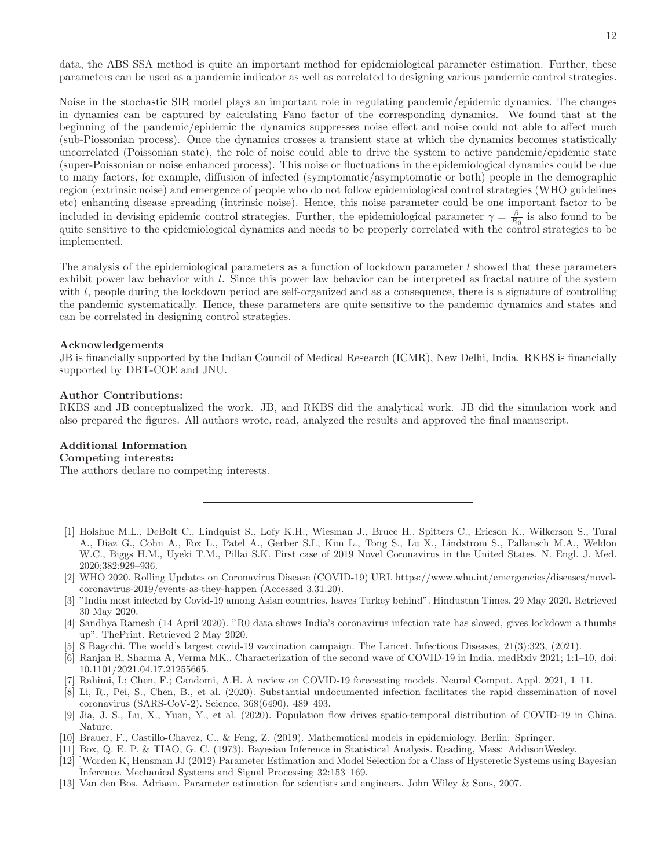data, the ABS SSA method is quite an important method for epidemiological parameter estimation. Further, these parameters can be used as a pandemic indicator as well as correlated to designing various pandemic control strategies.

Noise in the stochastic SIR model plays an important role in regulating pandemic/epidemic dynamics. The changes in dynamics can be captured by calculating Fano factor of the corresponding dynamics. We found that at the beginning of the pandemic/epidemic the dynamics suppresses noise effect and noise could not able to affect much (sub-Piossonian process). Once the dynamics crosses a transient state at which the dynamics becomes statistically uncorrelated (Poissonian state), the role of noise could able to drive the system to active pandemic/epidemic state (super-Poissonian or noise enhanced process). This noise or fluctuations in the epidemiological dynamics could be due to many factors, for example, diffusion of infected (symptomatic/asymptomatic or both) people in the demographic region (extrinsic noise) and emergence of people who do not follow epidemiological control strategies (WHO guidelines etc) enhancing disease spreading (intrinsic noise). Hence, this noise parameter could be one important factor to be included in devising epidemic control strategies. Further, the epidemiological parameter  $\gamma = \frac{\beta}{R_0}$  is also found to be quite sensitive to the epidemiological dynamics and needs to be properly correlated with the control strategies to be implemented.

The analysis of the epidemiological parameters as a function of lockdown parameter l showed that these parameters exhibit power law behavior with l. Since this power law behavior can be interpreted as fractal nature of the system with l, people during the lockdown period are self-organized and as a consequence, there is a signature of controlling the pandemic systematically. Hence, these parameters are quite sensitive to the pandemic dynamics and states and can be correlated in designing control strategies.

## Acknowledgements

JB is financially supported by the Indian Council of Medical Research (ICMR), New Delhi, India. RKBS is financially supported by DBT-COE and JNU.

#### Author Contributions:

RKBS and JB conceptualized the work. JB, and RKBS did the analytical work. JB did the simulation work and also prepared the figures. All authors wrote, read, analyzed the results and approved the final manuscript.

# Additional Information Competing interests:

The authors declare no competing interests.

- [1] Holshue M.L., DeBolt C., Lindquist S., Lofy K.H., Wiesman J., Bruce H., Spitters C., Ericson K., Wilkerson S., Tural A., Diaz G., Cohn A., Fox L., Patel A., Gerber S.I., Kim L., Tong S., Lu X., Lindstrom S., Pallansch M.A., Weldon W.C., Biggs H.M., Uyeki T.M., Pillai S.K. First case of 2019 Novel Coronavirus in the United States. N. Engl. J. Med. 2020;382:929–936.
- [2] WHO 2020. Rolling Updates on Coronavirus Disease (COVID-19) URL https://www.who.int/emergencies/diseases/novelcoronavirus-2019/events-as-they-happen (Accessed 3.31.20).
- [3] "India most infected by Covid-19 among Asian countries, leaves Turkey behind". Hindustan Times. 29 May 2020. Retrieved 30 May 2020.
- [4] Sandhya Ramesh (14 April 2020). "R0 data shows India's coronavirus infection rate has slowed, gives lockdown a thumbs up". ThePrint. Retrieved 2 May 2020.
- [5] S Bagcchi. The world's largest covid-19 vaccination campaign. The Lancet. Infectious Diseases, 21(3):323, (2021).
- [6] Ranjan R, Sharma A, Verma MK.. Characterization of the second wave of COVID-19 in India. medRxiv 2021; 1:1–10, doi: 10.1101/2021.04.17.21255665.
- [7] Rahimi, I.; Chen, F.; Gandomi, A.H. A review on COVID-19 forecasting models. Neural Comput. Appl. 2021, 1–11.
- [8] Li, R., Pei, S., Chen, B., et al. (2020). Substantial undocumented infection facilitates the rapid dissemination of novel coronavirus (SARS-CoV-2). Science, 368(6490), 489–493.
- [9] Jia, J. S., Lu, X., Yuan, Y., et al. (2020). Population flow drives spatio-temporal distribution of COVID-19 in China. Nature.
- [10] Brauer, F., Castillo-Chavez, C., & Feng, Z. (2019). Mathematical models in epidemiology. Berlin: Springer.
- [11] Box, Q. E. P. & TIAO, G. C. (1973). Bayesian Inference in Statistical Analysis. Reading, Mass: AddisonWesley.
- [12] ]Worden K, Hensman JJ (2012) Parameter Estimation and Model Selection for a Class of Hysteretic Systems using Bayesian Inference. Mechanical Systems and Signal Processing 32:153–169.
- [13] Van den Bos, Adriaan. Parameter estimation for scientists and engineers. John Wiley & Sons, 2007.